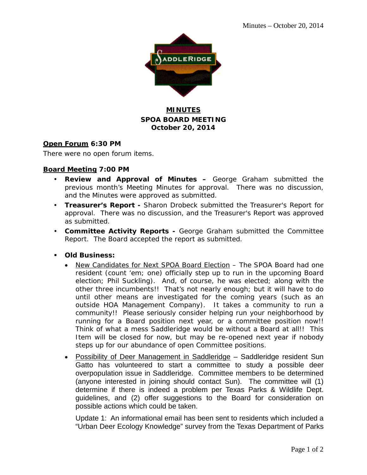

### **MINUTES SPOA BOARD MEETING October 20, 2014**

### **Open Forum 6:30 PM**

There were no open forum items.

### **Board Meeting 7:00 PM**

- **Review and Approval of Minutes –** George Graham submitted the previous month's Meeting Minutes for approval. There was no discussion, and the Minutes were approved as submitted.
- **Treasurer's Report -** Sharon Drobeck submitted the Treasurer's Report for approval. There was no discussion, and the Treasurer's Report was approved as submitted.
- **Committee Activity Reports -** George Graham submitted the Committee Report. The Board accepted the report as submitted.
- **Old Business:**
	- New Candidates for Next SPOA Board Election The SPOA Board had one resident (count 'em; one) officially step up to run in the upcoming Board election; Phil Suckling). And, of course, he was elected; along with the other three incumbents!! That's not nearly enough; but it will have to do until other means are investigated for the coming years (such as an outside HOA Management Company). It takes a community to run a community!! Please seriously consider helping run your neighborhood by running for a Board position next year, or a committee position now!! Think of what a mess Saddleridge would be without a Board at all!! This Item will be closed for now, but may be re-opened next year if nobody steps up for our abundance of open Committee positions.
	- Possibility of Deer Management in Saddleridge Saddleridge resident Sun Gatto has volunteered to start a committee to study a possible deer overpopulation issue in Saddleridge. Committee members to be determined (anyone interested in joining should contact Sun). The committee will (1) determine if there is indeed a problem per Texas Parks & Wildlife Dept. guidelines, and (2) offer suggestions to the Board for consideration on possible actions which could be taken.

Update 1: An informational email has been sent to residents which included a "Urban Deer Ecology Knowledge" survey from the Texas Department of Parks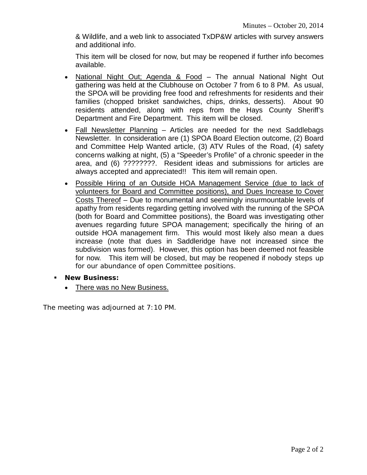& Wildlife, and a web link to associated TxDP&W articles with survey answers and additional info.

This item will be closed for now, but may be reopened if further info becomes available.

- National Night Out; Agenda & Food The annual National Night Out gathering was held at the Clubhouse on October 7 from 6 to 8 PM. As usual, the SPOA will be providing free food and refreshments for residents and their families (chopped brisket sandwiches, chips, drinks, desserts). About 90 residents attended, along with reps from the Hays County Sheriff's Department and Fire Department. This item will be closed.
- Fall Newsletter Planning Articles are needed for the next Saddlebags Newsletter. In consideration are (1) SPOA Board Election outcome, (2) Board and Committee Help Wanted article, (3) ATV Rules of the Road, (4) safety concerns walking at night, (5) a "Speeder's Profile" of a chronic speeder in the area, and (6) ????????. Resident ideas and submissions for articles are always accepted and appreciated!! This item will remain open.
- Possible Hiring of an Outside HOA Management Service (due to lack of volunteers for Board and Committee positions), and Dues Increase to Cover Costs Thereof – Due to monumental and seemingly insurmountable levels of apathy from residents regarding getting involved with the running of the SPOA (both for Board and Committee positions), the Board was investigating other avenues regarding future SPOA management; specifically the hiring of an outside HOA management firm. This would most likely also mean a dues increase (note that dues in Saddleridge have not increased since the subdivision was formed). However, this option has been deemed not feasible for now. This item will be closed, but may be reopened if nobody steps up for our abundance of open Committee positions.
- **New Business:**
	- There was no New Business.

The meeting was adjourned at 7:10 PM.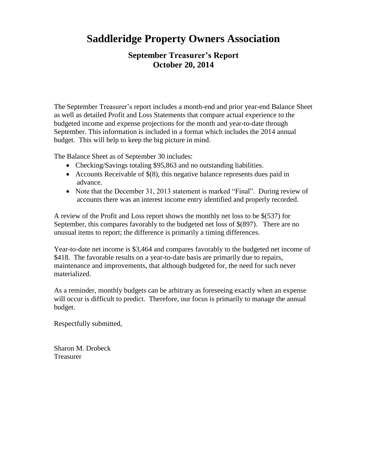## **Saddleridge Property Owners Association**

### **September Treasurer's Report October 20, 2014**

The September Treasurer's report includes a month-end and prior year-end Balance Sheet as well as detailed Profit and Loss Statements that compare actual experience to the budgeted income and expense projections for the month and year-to-date through September. This information is included in a format which includes the 2014 annual budget. This will help to keep the big picture in mind.

The Balance Sheet as of September 30 includes:

- Checking/Savings totaling \$95,863 and no outstanding liabilities.
- Accounts Receivable of  $$(8)$ , this negative balance represents dues paid in advance.
- Note that the December 31, 2013 statement is marked "Final". During review of accounts there was an interest income entry identified and properly recorded.

A review of the Profit and Loss report shows the monthly net loss to be \$(537) for September, this compares favorably to the budgeted net loss of \$(897). There are no unusual items to report; the difference is primarily a timing differences.

Year-to-date net income is \$3,464 and compares favorably to the budgeted net income of \$418. The favorable results on a year-to-date basis are primarily due to repairs, maintenance and improvements, that although budgeted for, the need for such never materialized.

As a reminder, monthly budgets can be arbitrary as foreseeing exactly when an expense will occur is difficult to predict. Therefore, our focus is primarily to manage the annual budget.

Respectfully submitted,

Sharon M. Drobeck Treasurer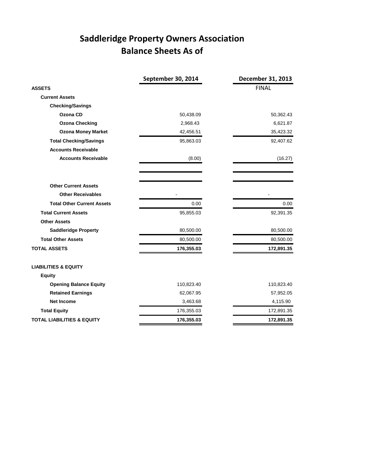## **Saddleridge Property Owners Association Balance Sheets As of**

|                                       | September 30, 2014 | December 31, 2013 |
|---------------------------------------|--------------------|-------------------|
| <b>ASSETS</b>                         |                    | <b>FINAL</b>      |
| <b>Current Assets</b>                 |                    |                   |
| <b>Checking/Savings</b>               |                    |                   |
| Ozona CD                              | 50,438.09          | 50,362.43         |
| <b>Ozona Checking</b>                 | 2,968.43           | 6,621.87          |
| <b>Ozona Money Market</b>             | 42,456.51          | 35,423.32         |
| <b>Total Checking/Savings</b>         | 95,863.03          | 92,407.62         |
| <b>Accounts Receivable</b>            |                    |                   |
| <b>Accounts Receivable</b>            | (8.00)             | (16.27)           |
|                                       |                    |                   |
| <b>Other Current Assets</b>           |                    |                   |
| <b>Other Receivables</b>              |                    |                   |
| <b>Total Other Current Assets</b>     | 0.00               | 0.00              |
| <b>Total Current Assets</b>           | 95,855.03          | 92,391.35         |
| <b>Other Assets</b>                   |                    |                   |
| <b>Saddleridge Property</b>           | 80,500.00          | 80,500.00         |
| <b>Total Other Assets</b>             | 80,500.00          | 80,500.00         |
| <b>TOTAL ASSETS</b>                   | 176,355.03         | 172,891.35        |
| <b>LIABILITIES &amp; EQUITY</b>       |                    |                   |
| <b>Equity</b>                         |                    |                   |
| <b>Opening Balance Equity</b>         | 110,823.40         | 110,823.40        |
| <b>Retained Earnings</b>              | 62,067.95          | 57,952.05         |
| <b>Net Income</b>                     | 3,463.68           | 4,115.90          |
| <b>Total Equity</b>                   | 176,355.03         | 172,891.35        |
| <b>TOTAL LIABILITIES &amp; EQUITY</b> | 176,355.03         | 172,891.35        |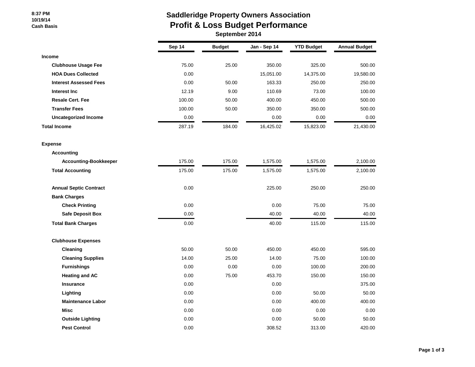#### **8:37 PM 10/19/14 Cash Basis**

### **Saddleridge Property Owners Association Profit & Loss Budget Performance**

 **September 2014**

|                               | Sep 14 | <b>Budget</b> | Jan - Sep 14 | <b>YTD Budget</b> | <b>Annual Budget</b> |
|-------------------------------|--------|---------------|--------------|-------------------|----------------------|
| <b>Income</b>                 |        |               |              |                   |                      |
| <b>Clubhouse Usage Fee</b>    | 75.00  | 25.00         | 350.00       | 325.00            | 500.00               |
| <b>HOA Dues Collected</b>     | 0.00   |               | 15,051.00    | 14,375.00         | 19,580.00            |
| <b>Interest Assessed Fees</b> | 0.00   | 50.00         | 163.33       | 250.00            | 250.00               |
| Interest Inc                  | 12.19  | 9.00          | 110.69       | 73.00             | 100.00               |
| <b>Resale Cert. Fee</b>       | 100.00 | 50.00         | 400.00       | 450.00            | 500.00               |
| <b>Transfer Fees</b>          | 100.00 | 50.00         | 350.00       | 350.00            | 500.00               |
| <b>Uncategorized Income</b>   | 0.00   |               | 0.00         | 0.00              | 0.00                 |
| <b>Total Income</b>           | 287.19 | 184.00        | 16,425.02    | 15,823.00         | 21,430.00            |
| <b>Expense</b>                |        |               |              |                   |                      |
| <b>Accounting</b>             |        |               |              |                   |                      |
| <b>Accounting-Bookkeeper</b>  | 175.00 | 175.00        | 1,575.00     | 1,575.00          | 2,100.00             |
| <b>Total Accounting</b>       | 175.00 | 175.00        | 1,575.00     | 1,575.00          | 2,100.00             |
| <b>Annual Septic Contract</b> | 0.00   |               | 225.00       | 250.00            | 250.00               |
| <b>Bank Charges</b>           |        |               |              |                   |                      |
| <b>Check Printing</b>         | 0.00   |               | 0.00         | 75.00             | 75.00                |
| <b>Safe Deposit Box</b>       | 0.00   |               | 40.00        | 40.00             | 40.00                |
| <b>Total Bank Charges</b>     | 0.00   |               | 40.00        | 115.00            | 115.00               |
| <b>Clubhouse Expenses</b>     |        |               |              |                   |                      |
| Cleaning                      | 50.00  | 50.00         | 450.00       | 450.00            | 595.00               |
| <b>Cleaning Supplies</b>      | 14.00  | 25.00         | 14.00        | 75.00             | 100.00               |
| <b>Furnishings</b>            | 0.00   | 0.00          | 0.00         | 100.00            | 200.00               |
| <b>Heating and AC</b>         | 0.00   | 75.00         | 453.70       | 150.00            | 150.00               |
| <b>Insurance</b>              | 0.00   |               | 0.00         |                   | 375.00               |
| Lighting                      | 0.00   |               | 0.00         | 50.00             | 50.00                |
| <b>Maintenance Labor</b>      | 0.00   |               | 0.00         | 400.00            | 400.00               |
| <b>Misc</b>                   | 0.00   |               | 0.00         | 0.00              | 0.00                 |
| <b>Outside Lighting</b>       | 0.00   |               | 0.00         | 50.00             | 50.00                |
| <b>Pest Control</b>           | 0.00   |               | 308.52       | 313.00            | 420.00               |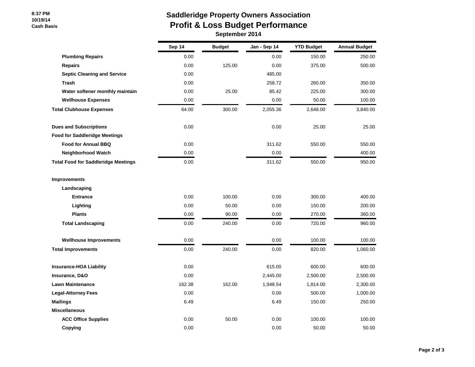#### **8:37 PM 10/19/14 Cash Basis**

# **Saddleridge Property Owners Association Profit & Loss Budget Performance**

| September 2014 |  |
|----------------|--|
|----------------|--|

|                                            | Sep 14 | <b>Budget</b> | Jan - Sep 14 | <b>YTD Budget</b> | <b>Annual Budget</b> |
|--------------------------------------------|--------|---------------|--------------|-------------------|----------------------|
| <b>Plumbing Repairs</b>                    | 0.00   |               | 0.00         | 150.00            | 250.00               |
| <b>Repairs</b>                             | 0.00   | 125.00        | 0.00         | 375.00            | 500.00               |
| <b>Septic Cleaning and Service</b>         | 0.00   |               | 485.00       |                   |                      |
| <b>Trash</b>                               | 0.00   |               | 258.72       | 260.00            | 350.00               |
| Water softener monthly maintain            | 0.00   | 25.00         | 85.42        | 225.00            | 300.00               |
| <b>Wellhouse Expenses</b>                  | 0.00   |               | 0.00         | 50.00             | 100.00               |
| <b>Total Clubhouse Expenses</b>            | 64.00  | 300.00        | 2,055.36     | 2,648.00          | 3,840.00             |
| <b>Dues and Subscriptions</b>              | 0.00   |               | 0.00         | 25.00             | 25.00                |
| <b>Food for Saddleridge Meetings</b>       |        |               |              |                   |                      |
| <b>Food for Annual BBQ</b>                 | 0.00   |               | 311.62       | 550.00            | 550.00               |
| <b>Neighborhood Watch</b>                  | 0.00   |               | 0.00         |                   | 400.00               |
| <b>Total Food for Saddleridge Meetings</b> | 0.00   |               | 311.62       | 550.00            | 950.00               |
| <b>Improvements</b>                        |        |               |              |                   |                      |
| Landscaping                                |        |               |              |                   |                      |
| <b>Entrance</b>                            | 0.00   | 100.00        | 0.00         | 300.00            | 400.00               |
| Lighting                                   | 0.00   | 50.00         | 0.00         | 150.00            | 200.00               |
| <b>Plants</b>                              | 0.00   | 90.00         | 0.00         | 270.00            | 360.00               |
| <b>Total Landscaping</b>                   | 0.00   | 240.00        | 0.00         | 720.00            | 960.00               |
| <b>Wellhouse Improvements</b>              | 0.00   |               | 0.00         | 100.00            | 100.00               |
| <b>Total Improvements</b>                  | 0.00   | 240.00        | 0.00         | 820.00            | 1,060.00             |
| <b>Insurance-HOA Liability</b>             | 0.00   |               | 615.00       | 600.00            | 600.00               |
| Insurance, D&O                             | 0.00   |               | 2,445.00     | 2,500.00          | 2,500.00             |
| <b>Lawn Maintenance</b>                    | 162.38 | 162.00        | 1,948.54     | 1,814.00          | 2,300.00             |
| <b>Legal-Attorney Fees</b>                 | 0.00   |               | 0.00         | 500.00            | 1,000.00             |
| <b>Mailings</b>                            | 6.49   |               | 6.49         | 150.00            | 250.00               |
| <b>Miscellaneous</b>                       |        |               |              |                   |                      |
| <b>ACC Office Supplies</b>                 | 0.00   | 50.00         | 0.00         | 100.00            | 100.00               |
| Copying                                    | 0.00   |               | 0.00         | 50.00             | 50.00                |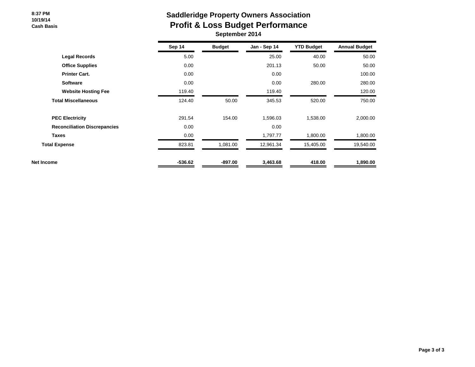#### **8:37 PM 10/19/14 Cash Basis**

# **Saddleridge Property Owners Association Profit & Loss Budget Performance**

|  | September 2014 |
|--|----------------|
|--|----------------|

|                                     | Sep 14    | <b>Budget</b> | Jan - Sep 14 | <b>YTD Budget</b> | <b>Annual Budget</b> |
|-------------------------------------|-----------|---------------|--------------|-------------------|----------------------|
| <b>Legal Records</b>                | 5.00      |               | 25.00        | 40.00             | 50.00                |
| <b>Office Supplies</b>              | 0.00      |               | 201.13       | 50.00             | 50.00                |
| <b>Printer Cart.</b>                | 0.00      |               | 0.00         |                   | 100.00               |
| <b>Software</b>                     | 0.00      |               | 0.00         | 280.00            | 280.00               |
| <b>Website Hosting Fee</b>          | 119.40    |               | 119.40       |                   | 120.00               |
| <b>Total Miscellaneous</b>          | 124.40    | 50.00         | 345.53       | 520.00            | 750.00               |
| <b>PEC Electricity</b>              | 291.54    | 154.00        | 1,596.03     | 1,538.00          | 2,000.00             |
| <b>Reconciliation Discrepancies</b> | 0.00      |               | 0.00         |                   |                      |
| <b>Taxes</b>                        | 0.00      |               | 1,797.77     | 1,800.00          | 1,800.00             |
| <b>Total Expense</b>                | 823.81    | 1,081.00      | 12,961.34    | 15,405.00         | 19,540.00            |
| Net Income                          | $-536.62$ | $-897.00$     | 3,463.68     | 418.00            | 1,890.00             |